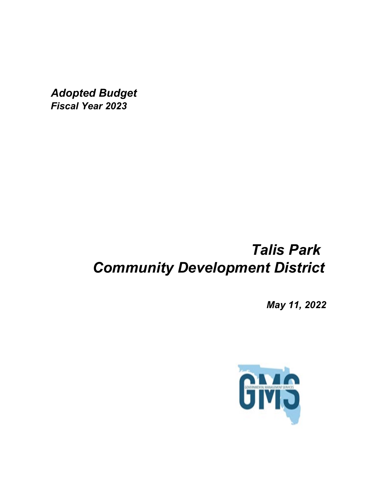*Adopted Budget Fiscal Year 2023*

# *Talis Park Community Development District*

*May 11, 2022*

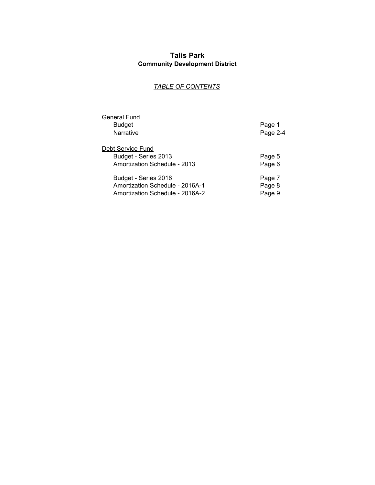## **Talis Park Community Development District**

## *TABLE OF CONTENTS*

| General Fund<br><b>Budget</b><br>Narrative                                                 | Page 1<br>Page 2-4         |
|--------------------------------------------------------------------------------------------|----------------------------|
| Debt Service Fund<br>Budget - Series 2013<br>Amortization Schedule - 2013                  | Page 5<br>Page 6           |
| Budget - Series 2016<br>Amortization Schedule - 2016A-1<br>Amortization Schedule - 2016A-2 | Page 7<br>Page 8<br>Page 9 |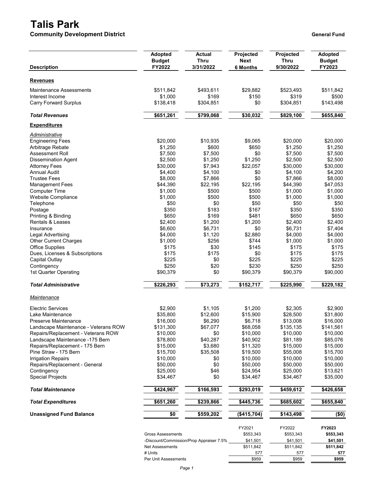## **Talis Park**

**Community Development District General Funding Servers and Servers Area Community Development District General Fund** 

| <b>Description</b>                                                | <b>Adopted</b><br><b>Budget</b><br>FY2022 | Actual<br><b>Thru</b><br>3/31/2022       | Projected<br><b>Next</b><br><b>6 Months</b> | Projected<br><b>Thru</b><br>9/30/2022 | <b>Adopted</b><br><b>Budget</b><br>FY2023 |
|-------------------------------------------------------------------|-------------------------------------------|------------------------------------------|---------------------------------------------|---------------------------------------|-------------------------------------------|
| <b>Revenues</b>                                                   |                                           |                                          |                                             |                                       |                                           |
| <b>Maintenance Assessments</b>                                    | \$511,842                                 | \$493,611                                | \$29,882                                    | \$523,493                             | \$511,842                                 |
| Interest Income                                                   | \$1,000                                   | \$169                                    | \$150                                       | \$319                                 | \$500                                     |
| <b>Carry Forward Surplus</b>                                      | \$138,418                                 | \$304,851                                | \$0                                         | \$304,851                             | \$143,498                                 |
| <b>Total Revenues</b>                                             | \$651,261                                 | \$799,068                                | \$30,032                                    | \$829,100                             | \$655,840                                 |
| <b>Expenditures</b>                                               |                                           |                                          |                                             |                                       |                                           |
| Administrative                                                    |                                           |                                          |                                             |                                       |                                           |
| <b>Engineering Fees</b>                                           | \$20,000                                  | \$10,935                                 | \$9,065                                     | \$20,000                              | \$20,000                                  |
| Arbitrage Rebate                                                  | \$1,250                                   | \$600                                    | \$650                                       | \$1,250                               | \$1,250                                   |
| Assessment Roll                                                   | \$7,500                                   | \$7,500                                  | \$0                                         | \$7,500                               | \$7,500                                   |
| <b>Dissemination Agent</b>                                        | \$2,500                                   | \$1,250                                  | \$1,250                                     | \$2,500                               | \$2,500                                   |
| <b>Attorney Fees</b>                                              | \$30,000                                  | \$7,943                                  | \$22,057                                    | \$30,000                              | \$30,000                                  |
| Annual Audit                                                      | \$4,400                                   | \$4,100                                  | \$0                                         | \$4,100                               | \$4,200                                   |
| <b>Trustee Fees</b>                                               | \$8,000                                   | \$7,866                                  | \$0                                         | \$7,866                               | \$8,000                                   |
| <b>Management Fees</b>                                            | \$44,390                                  | \$22,195                                 | \$22,195                                    | \$44,390                              | \$47,053                                  |
| <b>Computer Time</b>                                              | \$1,000                                   | \$500                                    | \$500                                       | \$1,000                               | \$1,000                                   |
| Website Compliance                                                | \$1,000                                   | \$500                                    | \$500                                       | \$1,000                               | \$1,000                                   |
| Telephone                                                         | \$50                                      | \$0                                      | \$50                                        | \$50                                  | \$50                                      |
| Postage                                                           | \$350                                     | \$183                                    | \$167                                       | \$350                                 | \$350                                     |
| Printing & Binding                                                | \$650                                     | \$169                                    | \$481                                       | \$650                                 | \$650                                     |
| Rentals & Leases                                                  | \$2,400                                   | \$1,200                                  | \$1,200                                     | \$2,400                               | \$2,400                                   |
| Insurance                                                         | \$6,600                                   | \$6,731                                  | \$0                                         | \$6,731                               | \$7,404                                   |
| Legal Advertising                                                 | \$4,000                                   | \$1,120                                  | \$2,880                                     | \$4,000                               | \$4,000                                   |
| <b>Other Current Charges</b>                                      | \$1,000                                   | \$256                                    | \$744                                       | \$1,000                               | \$1,000                                   |
| <b>Office Supplies</b>                                            | \$175                                     | \$30<br>\$175                            | \$145<br>\$0                                | \$175<br>\$175                        | \$175<br>\$175                            |
| Dues, Licenses & Subscriptions                                    | \$175                                     | \$0                                      |                                             |                                       |                                           |
| <b>Capital Outlay</b>                                             | \$225<br>\$250                            | \$20                                     | \$225<br>\$230                              | \$225<br>\$250                        | \$225<br>\$250                            |
| Contingency<br>1st Quarter Operating                              | \$90,379                                  | \$0                                      | \$90,379                                    | \$90,379                              | \$90,000                                  |
| <b>Total Administrative</b>                                       | \$226,293                                 | \$73,273                                 | \$152,717                                   | \$225,990                             | \$229,182                                 |
| <b>Maintenance</b>                                                |                                           |                                          |                                             |                                       |                                           |
|                                                                   |                                           |                                          |                                             |                                       |                                           |
| <b>Electric Services</b>                                          | \$2,900                                   | \$1,105                                  | \$1,200                                     | \$2,305                               | \$2,900                                   |
| Lake Maintenance                                                  | \$35,800                                  | \$12,600                                 | \$15,900                                    | \$28,500                              | \$31,800                                  |
| Preserve Maintenance                                              | \$16,000                                  | \$6,290                                  | \$6,718                                     | \$13,008                              | \$16,000                                  |
| Landscape Maintenance - Veterans ROW                              | \$131,300                                 | \$67,077                                 | \$68,058                                    | \$135,135                             | \$141,561                                 |
| Repairs/Replacement - Veterans ROW                                | \$10,000                                  | \$0                                      | \$10,000                                    | \$10,000<br>\$81,189                  | \$10,000                                  |
| Landscape Maintenance -175 Bern<br>Repairs/Replacement - 175 Bern | \$78,800<br>\$15,000                      | \$40,287<br>\$3,680                      | \$40,902<br>\$11,320                        | \$15,000                              | \$85,076                                  |
| Pine Straw - 175 Bern                                             | \$15,700                                  | \$35,508                                 | \$19,500                                    | \$55,008                              | \$15,000<br>\$15,700                      |
| <b>Irrigation Repairs</b>                                         | \$10,000                                  | \$0                                      | \$10,000                                    | \$10,000                              | \$10,000                                  |
| Repairs/Replacement - General                                     | \$50,000                                  | \$0                                      | \$50,000                                    | \$50,000                              | \$50,000                                  |
| Contingency                                                       | \$25,000                                  | \$46                                     | \$24,954                                    | \$25,000                              | \$13,621                                  |
| <b>Special Projects</b>                                           | \$34,467                                  | \$0                                      | \$34,467                                    | \$34,467                              | \$35,000                                  |
| <b>Total Maintenance</b>                                          | \$424,967                                 | \$166,593                                | \$293,019                                   | \$459,612                             | \$426,658                                 |
| <b>Total Expenditures</b>                                         | \$651,260                                 | \$239,866                                | \$445,736                                   | \$685,602                             | \$655,840                                 |
| <b>Unassigned Fund Balance</b>                                    | \$0                                       | \$559,202                                | (\$415,704)                                 | \$143,498                             | (50)                                      |
|                                                                   |                                           |                                          |                                             |                                       |                                           |
|                                                                   |                                           |                                          | FY2021                                      | FY2022                                | FY2023                                    |
|                                                                   | <b>Gross Assessments</b>                  |                                          | \$553,343                                   | \$553,343                             | \$553,343                                 |
|                                                                   |                                           | -Discount/Commission/Prop Appraiser 7.5% | \$41,501                                    | \$41,501                              | \$41,501                                  |
|                                                                   | Net Assessments                           |                                          | \$511,842                                   | \$511,842                             | \$511,842                                 |

# Units 577 577 **577** Per Unit Assessments **\$959** \$959 \$959 \$959 \$959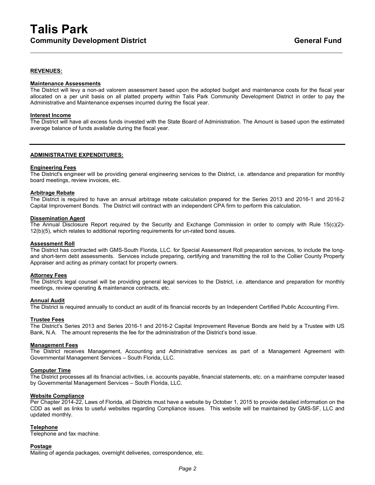### **REVENUES:**

#### **Maintenance Assessments**

The District will levy a non-ad valorem assessment based upon the adopted budget and maintenance costs for the fiscal year allocated on a per unit basis on all platted property within Talis Park Community Development District in order to pay the Administrative and Maintenance expenses incurred during the fiscal year.

 $\_$  , and the set of the set of the set of the set of the set of the set of the set of the set of the set of the set of the set of the set of the set of the set of the set of the set of the set of the set of the set of th

#### **Interest Income**

The District will have all excess funds invested with the State Board of Administration. The Amount is based upon the estimated average balance of funds available during the fiscal year.

#### **ADMINISTRATIVE EXPENDITURES:**

#### **Engineering Fees**

The District's engineer will be providing general engineering services to the District, i.e. attendance and preparation for monthly board meetings, review invoices, etc.

#### **Arbitrage Rebate**

The District is required to have an annual arbitrage rebate calculation prepared for the Series 2013 and 2016-1 and 2016-2 Capital Improvement Bonds. The District will contract with an independent CPA firm to perform this calculation.

#### **Dissemination Agent**

The Annual Disclosure Report required by the Security and Exchange Commission in order to comply with Rule 15(c)(2)- 12(b)(5), which relates to additional reporting requirements for un-rated bond issues.

#### **Assessment Roll**

The District has contracted with GMS-South Florida, LLC. for Special Assessment Roll preparation services, to include the longand short-term debt assessments. Services include preparing, certifying and transmitting the roll to the Collier County Property Appraiser and acting as primary contact for property owners.

#### **Attorney Fees**

The District's legal counsel will be providing general legal services to the District, i.e. attendance and preparation for monthly meetings, review operating & maintenance contracts, etc.

## **Annual Audit**

The District is required annually to conduct an audit of its financial records by an Independent Certified Public Accounting Firm.

### **Trustee Fees**

The District's Series 2013 and Series 2016-1 and 2016-2 Capital Improvement Revenue Bonds are held by a Trustee with US Bank, N.A. The amount represents the fee for the administration of the District's bond issue.

#### **Management Fees**

The District receives Management, Accounting and Administrative services as part of a Management Agreement with Governmental Management Services – South Florida, LLC.

#### **Computer Time**

The District processes all its financial activities, i.e. accounts payable, financial statements, etc. on a mainframe computer leased by Governmental Management Services – South Florida, LLC.

#### **Website Compliance**

Per Chapter 2014-22, Laws of Florida, all Districts must have a website by October 1, 2015 to provide detailed information on the CDD as well as links to useful websites regarding Compliance issues. This website will be maintained by GMS-SF, LLC and updated monthly.

#### **Telephone**

Telephone and fax machine.

#### **Postage**

Mailing of agenda packages, overnight deliveries, correspondence, etc.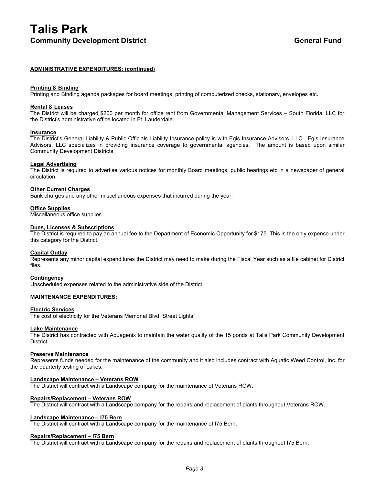### **ADMINISTRATIVE EXPENDITURES: (continued)**

#### **Printing & Binding**

Printing and Binding agenda packages for board meetings, printing of computerized checks, stationary, envelopes etc.

#### **Rental & Leases**

The District will be charged \$200 per month for office rent from Governmental Management Services – South Florida, LLC for the District's administrative office located in Ft. Lauderdale.

 $\_$  , and the set of the set of the set of the set of the set of the set of the set of the set of the set of the set of the set of the set of the set of the set of the set of the set of the set of the set of the set of th

#### **Insurance**

The District's General Liability & Public Officials Liability Insurance policy is with Egis Insurance Advisors, LLC. Egis Insurance Advisors, LLC specializes in providing insurance coverage to governmental agencies. The amount is based upon similar Community Development Districts.

#### **Legal Advertising**

The District is required to advertise various notices for monthly Board meetings, public hearings etc in a newspaper of general circulation.

#### **Other Current Charges**

Bank charges and any other miscellaneous expenses that incurred during the year.

#### **Office Supplies**

Miscellaneous office supplies.

#### **Dues, Licenses & Subscriptions**

The District is required to pay an annual fee to the Department of Economic Opportunity for \$175. This is the only expense under this category for the District.

#### **Capital Outlay**

Represents any minor capital expenditures the District may need to make during the Fiscal Year such as a file cabinet for District files.

#### **Contingency**

Unscheduled expenses related to the administrative side of the District.

#### **MAINTENANCE EXPENDITURES:**

#### **Electric Services**

The cost of electricity for the Veterans Memorial Blvd. Street Lights.

#### **Lake Maintenance**

The District has contracted with Aquagenix to maintain the water quality of the 15 ponds at Talis Park Community Development District.

#### **Preserve Maintenance**

Represents funds needed for the maintenance of the community and it also includes contract with Aquatic Weed Control, Inc. for the quarterly testing of Lakes.

#### **Landscape Maintenance – Veterans ROW**

The District will contract with a Landscape company for the maintenance of Veterans ROW.

#### **Repairs/Replacement – Veterans ROW**

The District will contract with a Landscape company for the repairs and replacement of plants throughout Veterans ROW.

#### **Landscape Maintenance – I75 Bern**

The District will contract with a Landscape company for the maintenance of I75 Bern.

## **Repairs/Replacement – I75 Bern**

The District will contract with a Landscape company for the repairs and replacement of plants throughout I75 Bern.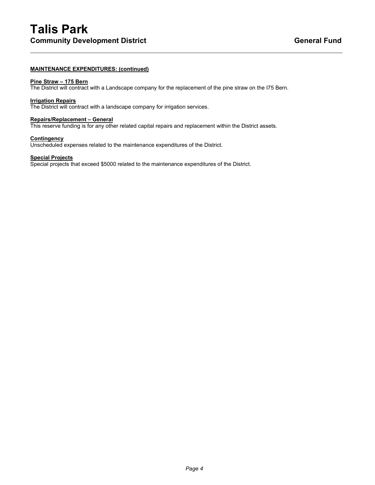## **MAINTENANCE EXPENDITURES: (continued)**

## **Pine Straw – 175 Bern**

The District will contract with a Landscape company for the replacement of the pine straw on the I75 Bern.

 $\_$  , and the set of the set of the set of the set of the set of the set of the set of the set of the set of the set of the set of the set of the set of the set of the set of the set of the set of the set of the set of th

## **Irrigation Repairs**

The District will contract with a landscape company for irrigation services.

#### **Repairs/Replacement – General**

This reserve funding is for any other related capital repairs and replacement within the District assets.

#### **Contingency**

Unscheduled expenses related to the maintenance expenditures of the District.

#### **Special Projects**

Special projects that exceed \$5000 related to the maintenance expenditures of the District.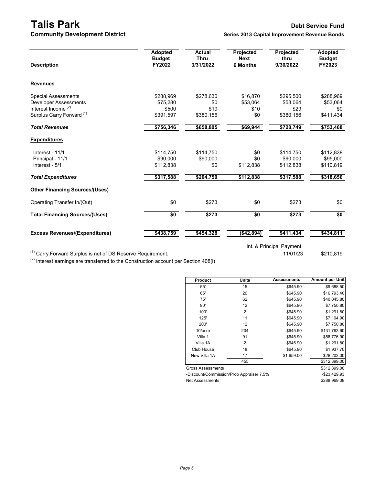**Community Development District** 

# **Talis Park Debt Service Fund**

| <b>Description</b>                    | Adopted<br><b>Budget</b><br>FY2022 | <b>Actual</b><br><b>Thru</b><br>3/31/2022 | Projected<br><b>Next</b><br><b>6 Months</b> | Projected<br>thru<br>9/30/2022 | <b>Adopted</b><br><b>Budget</b><br>FY2023 |
|---------------------------------------|------------------------------------|-------------------------------------------|---------------------------------------------|--------------------------------|-------------------------------------------|
| <b>Revenues</b>                       |                                    |                                           |                                             |                                |                                           |
| <b>Special Assessments</b>            | \$288,969                          | \$278,630                                 | \$16,870                                    | \$295,500                      | \$288,969                                 |
| Developer Assessments                 | \$75.280                           | \$0                                       | \$53.064                                    | \$53.064                       | \$53,064                                  |
| Interest Income <sup>(2)</sup>        | \$500                              | \$19                                      | \$10                                        | \$29                           | \$0                                       |
| Surplus Carry Forward <sup>(1)</sup>  | \$391,597                          | \$380,156                                 | \$0                                         | \$380,156                      | \$411,434                                 |
| <b>Total Revenues</b>                 | \$756,346                          | \$658,805                                 | \$69,944                                    | \$728,749                      | \$753,468                                 |
| <b>Expenditures</b>                   |                                    |                                           |                                             |                                |                                           |
| Interest - 11/1                       | \$114,750                          | \$114,750                                 | \$0                                         | \$114,750                      | \$112,838                                 |
| Principal - 11/1                      | \$90,000                           | \$90,000                                  | \$0                                         | \$90,000                       | \$95,000                                  |
| Interest - 5/1                        | \$112,838                          | \$0                                       | \$112,838                                   | \$112,838                      | \$110,819                                 |
| <b>Total Expenditures</b>             | \$317,588                          | \$204,750                                 | \$112,838                                   | \$317,588                      | \$318,656                                 |
| <b>Other Financing Sources/(Uses)</b> |                                    |                                           |                                             |                                |                                           |
| Operating Transfer In/(Out)           | \$0                                | \$273                                     | \$0                                         | \$273                          | \$0                                       |
| <b>Total Financing Sources/(Uses)</b> | \$0                                | \$273                                     | $\overline{50}$                             | \$273                          | \$0                                       |
| <b>Excess Revenues/(Expenditures)</b> | \$438,759                          | \$454,328                                 | (\$42,894)                                  | \$411,434                      | \$434,811                                 |

Int. & Principal Payment

<sup>(1)</sup> Carry Forward Surplus is net of DS Reserve Requirement. 11/01/23 \$210,819

 $(2)$  Interest earnings are transferred to the Construction account per Section 408(i)

| Product                                  | Units          | <b>Assessments</b> | Amount per Unit |
|------------------------------------------|----------------|--------------------|-----------------|
| 55'                                      | 15             | \$645.90           | \$9,688.50      |
| 65'                                      | 26             | \$645.90           | \$16,793.40     |
| 75'                                      | 62             | \$645.90           | \$40,045.80     |
| 90'                                      | 12             | \$645.90           | \$7,750.80      |
| 100'                                     | 2              | \$645.90           | \$1,291.80      |
| 125'                                     | 11             | \$645.90           | \$7,104.90      |
| 200'                                     | 12             | \$645.90           | \$7,750.80      |
| 10/acre                                  | 204            | \$645.90           | \$131,763.60    |
| Villa 1                                  | 91             | \$645.90           | \$58,776.90     |
| Villa 1A                                 | $\overline{2}$ | \$645.90           | \$1,291.80      |
| Club House                               | 18             | \$645.90           | \$1,937.70      |
| New Villa 1A                             | 17             | \$1,659.00         | \$28,203.00     |
|                                          | 455            |                    | \$312,399.00    |
| <b>Gross Assessments</b>                 |                |                    | \$312,399.00    |
| -Discount/Commission/Prop Appraiser 7.5% |                |                    | $-$23,429.93$   |
| Net Assessments                          |                |                    | \$288,969.08    |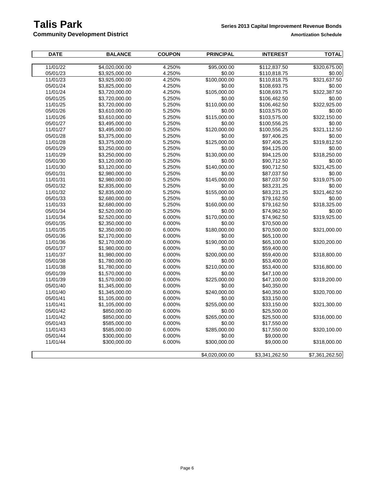**Community Development District Amortization Schedule Amortization Schedule** 

| <b>DATE</b> | <b>BALANCE</b> | <b>COUPON</b> | <b>PRINCIPAL</b> | <b>INTEREST</b> | <b>TOTAL</b>   |
|-------------|----------------|---------------|------------------|-----------------|----------------|
|             |                |               |                  |                 |                |
| 11/01/22    | \$4,020,000.00 | 4.250%        | \$95,000.00      | \$112,837.50    | \$320,675.00   |
| 05/01/23    | \$3,925,000.00 | 4.250%        | \$0.00           | \$110,818.75    | \$0.00         |
| 11/01/23    | \$3,925,000.00 | 4.250%        | \$100,000.00     | \$110,818.75    | \$321,637.50   |
| 05/01/24    | \$3,825,000.00 | 4.250%        | \$0.00           | \$108,693.75    | \$0.00         |
| 11/01/24    | \$3,720,000.00 | 4.250%        | \$105,000.00     | \$108,693.75    | \$322,387.50   |
| 05/01/25    | \$3,720,000.00 | 5.250%        | \$0.00           | \$106,462.50    | \$0.00         |
| 11/01/25    | \$3,720,000.00 | 5.250%        | \$110,000.00     | \$106,462.50    | \$322,925.00   |
| 05/01/26    | \$3,610,000.00 | 5.250%        | \$0.00           | \$103,575.00    | \$0.00         |
| 11/01/26    | \$3,610,000.00 | 5.250%        | \$115,000.00     | \$103,575.00    | \$322,150.00   |
| 05/01/27    | \$3,495,000.00 | 5.250%        | \$0.00           | \$100,556.25    | \$0.00         |
| 11/01/27    | \$3,495,000.00 | 5.250%        | \$120,000.00     | \$100,556.25    | \$321,112.50   |
| 05/01/28    | \$3,375,000.00 | 5.250%        | \$0.00           | \$97,406.25     | \$0.00         |
| 11/01/28    | \$3,375,000.00 | 5.250%        | \$125,000.00     | \$97,406.25     | \$319,812.50   |
| 05/01/29    | \$3,250,000.00 | 5.250%        | \$0.00           | \$94,125.00     | \$0.00         |
| 11/01/29    | \$3,250,000.00 | 5.250%        | \$130,000.00     | \$94,125.00     | \$318,250.00   |
| 05/01/30    | \$3,120,000.00 | 5.250%        | \$0.00           | \$90,712.50     | \$0.00         |
| 11/01/30    | \$3,120,000.00 | 5.250%        | \$140,000.00     | \$90,712.50     | \$321,425.00   |
| 05/01/31    | \$2,980,000.00 | 5.250%        | \$0.00           | \$87,037.50     | \$0.00         |
| 11/01/31    | \$2,980,000.00 | 5.250%        | \$145,000.00     | \$87,037.50     | \$319,075.00   |
| 05/01/32    | \$2,835,000.00 | 5.250%        | \$0.00           | \$83,231.25     | \$0.00         |
| 11/01/32    | \$2,835,000.00 | 5.250%        | \$155,000.00     | \$83,231.25     | \$321,462.50   |
| 05/01/33    | \$2,680,000.00 | 5.250%        | \$0.00           | \$79,162.50     | \$0.00         |
| 11/01/33    | \$2,680,000.00 | 5.250%        | \$160,000.00     | \$79,162.50     | \$318,325.00   |
| 05/01/34    | \$2,520,000.00 | 5.250%        | \$0.00           | \$74,962.50     | \$0.00         |
| 11/01/34    | \$2,520,000.00 | 6.000%        | \$170,000.00     | \$74,962.50     | \$319,925.00   |
| 05/01/35    | \$2,350,000.00 | 6.000%        | \$0.00           | \$70,500.00     |                |
| 11/01/35    | \$2,350,000.00 | 6.000%        | \$180,000.00     | \$70,500.00     | \$321,000.00   |
| 05/01/36    | \$2,170,000.00 | 6.000%        | \$0.00           | \$65,100.00     |                |
| 11/01/36    | \$2,170,000.00 | 6.000%        | \$190,000.00     | \$65,100.00     | \$320,200.00   |
| 05/01/37    | \$1,980,000.00 | 6.000%        | \$0.00           | \$59,400.00     |                |
| 11/01/37    | \$1,980,000.00 | 6.000%        | \$200,000.00     | \$59,400.00     | \$318,800.00   |
| 05/01/38    | \$1,780,000.00 | 6.000%        | \$0.00           | \$53,400.00     |                |
| 11/01/38    | \$1,780,000.00 | 6.000%        | \$210,000.00     | \$53,400.00     | \$316,800.00   |
| 05/01/39    | \$1,570,000.00 | 6.000%        | \$0.00           | \$47,100.00     |                |
| 11/01/39    | \$1,570,000.00 | 6.000%        | \$225,000.00     | \$47,100.00     | \$319,200.00   |
| 05/01/40    | \$1,345,000.00 | 6.000%        | \$0.00           | \$40,350.00     |                |
| 11/01/40    | \$1,345,000.00 | 6.000%        | \$240,000.00     | \$40,350.00     | \$320,700.00   |
| 05/01/41    | \$1,105,000.00 | 6.000%        | \$0.00           | \$33,150.00     |                |
| 11/01/41    | \$1,105,000.00 | 6.000%        | \$255,000.00     | \$33,150.00     | \$321,300.00   |
| 05/01/42    | \$850,000.00   | 6.000%        | \$0.00           | \$25,500.00     |                |
| 11/01/42    | \$850,000.00   | 6.000%        | \$265,000.00     | \$25,500.00     | \$316,000.00   |
| 05/01/43    | \$585,000.00   | 6.000%        | \$0.00           | \$17,550.00     |                |
| 11/01/43    | \$585,000.00   | 6.000%        | \$285,000.00     | \$17,550.00     | \$320,100.00   |
| 05/01/44    | \$300,000.00   | 6.000%        | \$0.00           | \$9,000.00      |                |
| 11/01/44    | \$300,000.00   | 6.000%        | \$300,000.00     | \$9,000.00      | \$318,000.00   |
|             |                |               |                  |                 |                |
|             |                |               | \$4,020,000.00   | \$3,341,262.50  | \$7,361,262.50 |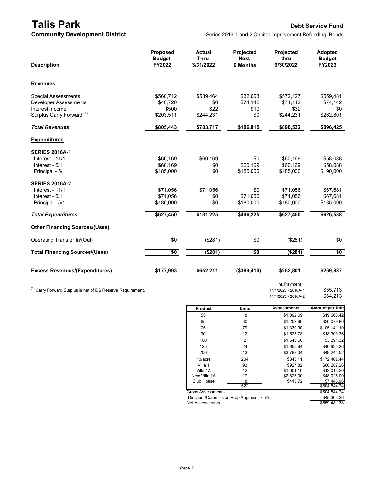**Talis Park Debt Service Fund**<br>**Community Development District Debt Service Fund** Series 2016-1 and 2 Capital Improvement Refunding Bonds Series 2016-1 and 2 Capital Improvement Refunding Bonds

| <b>Description</b>                    | <b>Proposed</b><br><b>Budget</b><br>FY2022 | <b>Actual</b><br><b>Thru</b><br>3/31/2022 | Projected<br><b>Next</b><br><b>6 Months</b> | Projected<br>thru<br>9/30/2022 | <b>Adopted</b><br><b>Budget</b><br>FY2023 |
|---------------------------------------|--------------------------------------------|-------------------------------------------|---------------------------------------------|--------------------------------|-------------------------------------------|
| <b>Revenues</b>                       |                                            |                                           |                                             |                                |                                           |
| <b>Special Assessments</b>            | \$560,712                                  | \$539,464                                 | \$32,663                                    | \$572,127                      | \$559,481                                 |
| <b>Developer Assessments</b>          | \$40,720                                   | \$0                                       | \$74,142                                    | \$74,142                       | \$74,142                                  |
| Interest Income                       | \$500                                      | \$22                                      | \$10                                        | \$32                           | \$0                                       |
| Surplus Carry Forward <sup>(1)</sup>  | \$203,511                                  | \$244,231                                 | \$0                                         | \$244,231                      | \$262,801                                 |
| <b>Total Revenues</b>                 | \$805,443                                  | \$783,717                                 | \$106,815                                   | \$890,532                      | \$896,425                                 |
| <b>Expenditures</b>                   |                                            |                                           |                                             |                                |                                           |
| <b>SERIES 2016A-1</b>                 |                                            |                                           |                                             |                                |                                           |
| Interest - 11/1                       | \$60,169                                   | \$60,169                                  | \$0                                         | \$60,169                       | \$58,088                                  |
| Interest - 5/1                        | \$60,169                                   | \$0                                       | \$60,169                                    | \$60,169                       | \$58,088                                  |
| Principal - 5/1                       | \$185,000                                  | \$0                                       | \$185,000                                   | \$185,000                      | \$190,000                                 |
| <b>SERIES 2016A-2</b>                 |                                            |                                           |                                             |                                |                                           |
| Interest - 11/1                       | \$71,056                                   | \$71,056                                  | \$0                                         | \$71,056                       | \$67,681                                  |
| Interest - 5/1                        | \$71,056                                   | \$0                                       | \$71.056                                    | \$71,056                       | \$67,681                                  |
| Principal - 5/1                       | \$180,000                                  | \$0                                       | \$180,000                                   | \$180,000                      | \$185,000                                 |
| <b>Total Expenditures</b>             | \$627,450                                  | \$131,225                                 | \$496,225                                   | \$627,450                      | \$626,538                                 |
| <b>Other Financing Sources/(Uses)</b> |                                            |                                           |                                             |                                |                                           |
| Operating Transfer In/(Out)           | \$0                                        | (\$281)                                   | \$0                                         | (\$281)                        | \$0                                       |
| <b>Total Financing Sources/(Uses)</b> | $\sqrt{6}$                                 | (\$281)                                   | $\overline{50}$                             | (\$281)                        | \$0                                       |
| <b>Excess Revenues/(Expenditures)</b> | \$177,993                                  | \$652,211                                 | ( \$389,410)                                | \$262,801                      | \$269,887                                 |
|                                       |                                            |                                           |                                             |                                |                                           |

(1) Carry Forward Surplus is net of DS Reserve Requirement.<br>
\$55,713  $11/1/2023 - 2016A-2$  \$64,213

Int. Payment<br>11/1/2023 - 2016A-1 11/1/2023 - 2016A-2

| Product                  | <b>Units</b>   | <b>Assessments</b> | <b>Amount per Unit</b> |
|--------------------------|----------------|--------------------|------------------------|
| 55'                      | 18             | \$1,092.69         | \$19,668.42            |
| 65'                      | 30             | \$1,202.66         | \$36,079.80            |
| 75'                      | 79             | \$1,330.90         | \$105,141.10           |
| 90'                      | 12             | \$1,525.78         | \$18,309.36            |
| 100'                     | $\overline{2}$ | \$1.645.66         | \$3,291.32             |
| 125'                     | 24             | \$1,955.64         | \$46,935.36            |
| 200'                     | 13             | \$3.788.04         | \$49,244.52            |
| 10/accre                 | 204            | \$845.11           | \$172.402.44           |
| Villa 1                  | 93             | \$927.82           | \$86,287.26            |
| Villa 1A                 | 12             | \$1.001.10         | \$12,013.20            |
| New Villa 1A             | 17             | \$2,825.00         | \$48,025.00            |
| Club House               | 18             | \$413.72           | \$7.446.96             |
|                          | 522            |                    | \$604,844.74           |
| <b>Gross Assessments</b> |                |                    | \$604,844.74           |

-Discount/Commission/Prop Appraiser 7.5% -\$45,363.36 Net Assessments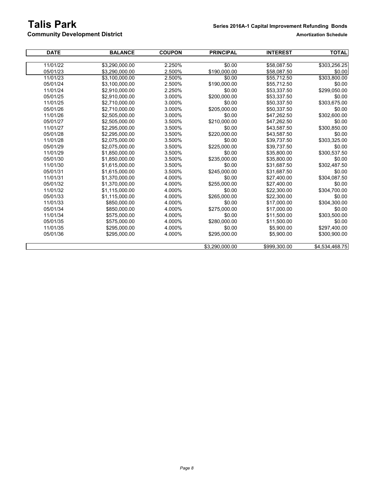# **Talis Park Series 2016A-1 Capital Improvement Refunding Bonds**

**Community Development District** 

| <b>DATE</b> | <b>BALANCE</b> | <b>COUPON</b> | <b>PRINCIPAL</b> | <b>INTEREST</b> | <b>TOTAL</b>   |
|-------------|----------------|---------------|------------------|-----------------|----------------|
|             |                |               |                  |                 |                |
| 11/01/22    | \$3,290,000.00 | 2.250%        | \$0.00           | \$58,087.50     | \$303,256.25   |
| 05/01/23    | \$3.290.000.00 | 2.500%        | \$190,000.00     | \$58,087.50     | \$0.00         |
| 11/01/23    | \$3,100,000.00 | 2.500%        | \$0.00           | \$55,712.50     | \$303,800.00   |
| 05/01/24    | \$3,100,000.00 | 2.500%        | \$190,000.00     | \$55,712.50     | \$0.00         |
| 11/01/24    | \$2,910,000.00 | 2.250%        | \$0.00           | \$53,337.50     | \$299,050.00   |
| 05/01/25    | \$2.910.000.00 | 3.000%        | \$200.000.00     | \$53,337.50     | \$0.00         |
| 11/01/25    | \$2,710,000.00 | 3.000%        | \$0.00           | \$50,337.50     | \$303,675.00   |
| 05/01/26    | \$2,710,000.00 | 3.000%        | \$205,000.00     | \$50,337.50     | \$0.00         |
| 11/01/26    | \$2,505,000.00 | 3.000%        | \$0.00           | \$47,262.50     | \$302,600.00   |
| 05/01/27    | \$2,505,000.00 | 3.500%        | \$210,000.00     | \$47,262.50     | \$0.00         |
| 11/01/27    | \$2.295.000.00 | 3.500%        | \$0.00           | \$43,587.50     | \$300,850.00   |
| 05/01/28    | \$2,295,000.00 | 3.500%        | \$220,000.00     | \$43,587.50     | \$0.00         |
| 11/01/28    | \$2,075,000.00 | 3.500%        | \$0.00           | \$39,737.50     | \$303,325.00   |
| 05/01/29    | \$2.075.000.00 | 3.500%        | \$225.000.00     | \$39.737.50     | \$0.00         |
| 11/01/29    | \$1,850,000.00 | 3.500%        | \$0.00           | \$35,800.00     | \$300,537.50   |
| 05/01/30    | \$1,850,000.00 | 3.500%        | \$235,000.00     | \$35,800.00     | \$0.00         |
| 11/01/30    | \$1,615,000.00 | 3.500%        | \$0.00           | \$31,687.50     | \$302,487.50   |
| 05/01/31    | \$1,615,000.00 | 3.500%        | \$245,000.00     | \$31,687.50     | \$0.00         |
| 11/01/31    | \$1.370.000.00 | 4.000%        | \$0.00           | \$27.400.00     | \$304,087.50   |
| 05/01/32    | \$1.370.000.00 | 4.000%        | \$255,000.00     | \$27,400.00     | \$0.00         |
| 11/01/32    | \$1,115,000.00 | 4.000%        | \$0.00           | \$22,300.00     | \$304,700.00   |
| 05/01/33    | \$1,115,000.00 | 4.000%        | \$265,000.00     | \$22,300.00     | \$0.00         |
| 11/01/33    | \$850,000.00   | 4.000%        | \$0.00           | \$17,000.00     | \$304,300.00   |
| 05/01/34    | \$850,000.00   | 4.000%        | \$275,000.00     | \$17,000.00     | \$0.00         |
| 11/01/34    | \$575,000.00   | 4.000%        | \$0.00           | \$11,500.00     | \$303,500.00   |
| 05/01/35    | \$575,000.00   | 4.000%        | \$280,000.00     | \$11,500.00     | \$0.00         |
| 11/01/35    | \$295,000.00   | 4.000%        | \$0.00           | \$5,900.00      | \$297,400.00   |
| 05/01/36    | \$295,000.00   | 4.000%        | \$295,000.00     | \$5,900.00      | \$300,900.00   |
|             |                |               | \$3,290,000.00   | \$999,300.00    | \$4,534,468.75 |